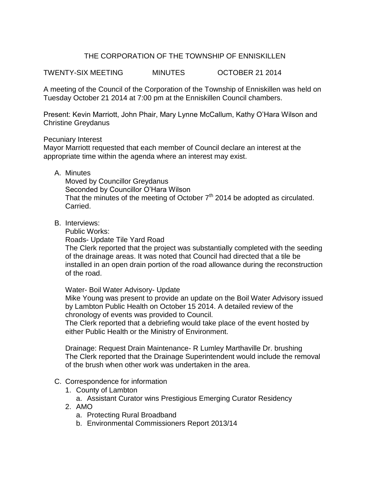## THE CORPORATION OF THE TOWNSHIP OF ENNISKILLEN

TWENTY-SIX MEETING MINUTES OCTOBER 21 2014

A meeting of the Council of the Corporation of the Township of Enniskillen was held on Tuesday October 21 2014 at 7:00 pm at the Enniskillen Council chambers.

Present: Kevin Marriott, John Phair, Mary Lynne McCallum, Kathy O'Hara Wilson and Christine Greydanus

#### Pecuniary Interest

Mayor Marriott requested that each member of Council declare an interest at the appropriate time within the agenda where an interest may exist.

A. Minutes

Moved by Councillor Greydanus Seconded by Councillor O'Hara Wilson That the minutes of the meeting of October  $7<sup>th</sup>$  2014 be adopted as circulated. Carried.

B. Interviews:

Public Works:

Roads- Update Tile Yard Road

The Clerk reported that the project was substantially completed with the seeding of the drainage areas. It was noted that Council had directed that a tile be installed in an open drain portion of the road allowance during the reconstruction of the road.

#### Water- Boil Water Advisory- Update

Mike Young was present to provide an update on the Boil Water Advisory issued by Lambton Public Health on October 15 2014. A detailed review of the chronology of events was provided to Council.

The Clerk reported that a debriefing would take place of the event hosted by either Public Health or the Ministry of Environment.

Drainage: Request Drain Maintenance- R Lumley Marthaville Dr. brushing The Clerk reported that the Drainage Superintendent would include the removal of the brush when other work was undertaken in the area.

#### C. Correspondence for information

- 1. County of Lambton
	- a. Assistant Curator wins Prestigious Emerging Curator Residency
- 2. AMO
	- a. Protecting Rural Broadband
	- b. Environmental Commissioners Report 2013/14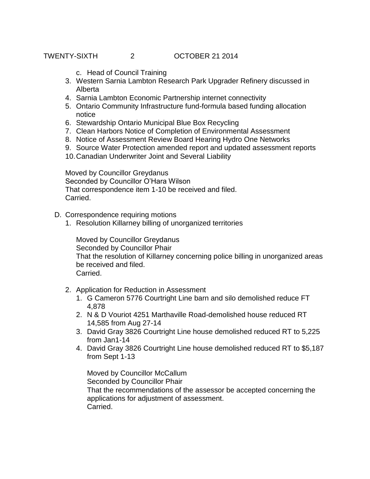TWENTY-SIXTH 2 OCTOBER 21 2014

- c. Head of Council Training
- 3. Western Sarnia Lambton Research Park Upgrader Refinery discussed in Alberta
- 4. Sarnia Lambton Economic Partnership internet connectivity
- 5. Ontario Community Infrastructure fund-formula based funding allocation notice
- 6. Stewardship Ontario Municipal Blue Box Recycling
- 7. Clean Harbors Notice of Completion of Environmental Assessment
- 8. Notice of Assessment Review Board Hearing Hydro One Networks
- 9. Source Water Protection amended report and updated assessment reports
- 10.Canadian Underwriter Joint and Several Liability

Moved by Councillor Greydanus Seconded by Councillor O'Hara Wilson That correspondence item 1-10 be received and filed. Carried.

- D. Correspondence requiring motions
	- 1. Resolution Killarney billing of unorganized territories

Moved by Councillor Greydanus Seconded by Councillor Phair That the resolution of Killarney concerning police billing in unorganized areas be received and filed. Carried.

- 2. Application for Reduction in Assessment
	- 1. G Cameron 5776 Courtright Line barn and silo demolished reduce FT 4,878
	- 2. N & D Vouriot 4251 Marthaville Road-demolished house reduced RT 14,585 from Aug 27-14
	- 3. David Gray 3826 Courtright Line house demolished reduced RT to 5,225 from Jan1-14
	- 4. David Gray 3826 Courtright Line house demolished reduced RT to \$5,187 from Sept 1-13

Moved by Councillor McCallum Seconded by Councillor Phair That the recommendations of the assessor be accepted concerning the applications for adjustment of assessment. Carried.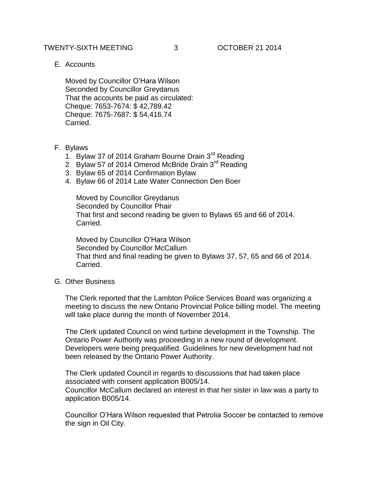### TWENTY-SIXTH MEETING 3 OCTOBER 21 2014

E. Accounts

Moved by Councillor O'Hara Wilson Seconded by Councillor Greydanus That the accounts be paid as circulated: Cheque: 7653-7674: \$ 42,789.42 Cheque: 7675-7687: \$ 54,416.74 Carried.

#### F. Bylaws

- 1. Bylaw 37 of 2014 Graham Bourne Drain 3<sup>rd</sup> Reading
- 2. Bylaw 57 of 2014 Omerod McBride Drain 3<sup>rd</sup> Reading
- 3. Bylaw 65 of 2014 Confirmation Bylaw
- 4. Bylaw 66 of 2014 Late Water Connection Den Boer

Moved by Councillor Greydanus Seconded by Councillor Phair That first and second reading be given to Bylaws 65 and 66 of 2014. Carried.

Moved by Councillor O'Hara Wilson Seconded by Councillor McCallum That third and final reading be given to Bylaws 37, 57, 65 and 66 of 2014. Carried.

G. Other Business

The Clerk reported that the Lambton Police Services Board was organizing a meeting to discuss the new Ontario Provincial Police billing model. The meeting will take place during the month of November 2014.

The Clerk updated Council on wind turbine development in the Township. The Ontario Power Authority was proceeding in a new round of development. Developers were being prequalified. Guidelines for new development had not been released by the Ontario Power Authority.

The Clerk updated Council in regards to discussions that had taken place associated with consent application B005/14. Councillor McCallum declared an interest in that her sister in law was a party to application B005/14.

Councillor O'Hara Wilson requested that Petrolia Soccer be contacted to remove the sign in Oil City.